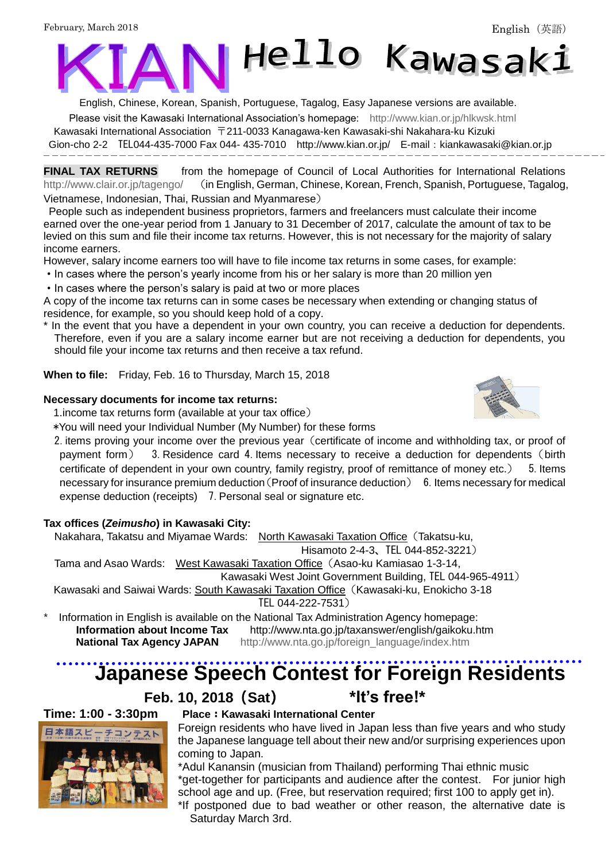

English, Chinese, Korean, Spanish, Portuguese, Tagalog, Easy Japanese versions are available.

Please visit the Kawasaki International Association's homepage: <http://www.kian.or.jp/hlkwsk.html>

Kawasaki International Association 〒211-0033 Kanagawa-ken Kawasaki-shi Nakahara-ku Kizuki

Gion-cho 2-2 TEL044-435-7000 Fax 044- 435-7010 <http://www.kian.or.jp/>E-mail:kiankawasaki@kian.or.jp

**FINAL TAX RETURNS** from the homepage of Council of Local Authorities for International Relations <http://www.clair.or.jp/tagengo/> (in English, German, Chinese, Korean, French, Spanish, Portuguese, Tagalog, Vietnamese, Indonesian, Thai, Russian and Myanmarese)

People such as independent business proprietors, farmers and freelancers must calculate their income earned over the one-year period from 1 January to 31 December of 2017, calculate the amount of tax to be levied on this sum and file their income tax returns. However, this is not necessary for the majority of salary income earners.

However, salary income earners too will have to file income tax returns in some cases, for example:

- ・In cases where the person's yearly income from his or her salary is more than 20 million yen
- ・In cases where the person's salary is paid at two or more places

A copy of the income tax returns can in some cases be necessary when extending or changing status of residence, for example, so you should keep hold of a copy.

In the event that you have a dependent in your own country, you can receive a deduction for dependents. Therefore, even if you are a salary income earner but are not receiving a deduction for dependents, you should file your income tax returns and then receive a tax refund.

**When to file:** Friday, Feb. 16 to Thursday, March 15, 2018

### **Necessary documents for income tax returns:**

1.income tax returns form (available at your tax office)

\*You will need your Individual Number (My Number) for these forms

2. items proving your income over the previous year (certificate of income and withholding tax, or proof of payment form) 3.Residence card 4.Items necessary to receive a deduction for dependents(birth certificate of dependent in your own country, family registry, proof of remittance of money etc.) 5. Items necessary for insurance premium deduction (Proof of insurance deduction) 6. Items necessary for medical expense deduction (receipts) 7. Personal seal or signature etc.

## **Tax offices (***Zeimusho***) in Kawasaki City:**

Nakahara, Takatsu and Miyamae Wards: North Kawasaki Taxation Office(Takatsu-ku,

Hisamoto 2-4-3、TEL 044-852-3221)

Tama and Asao Wards: West Kawasaki Taxation Office (Asao-ku Kamiasao 1-3-14,

Kawasaki West Joint Government Building, TEL 044-965-4911)

Kawasaki and Saiwai Wards: South Kawasaki Taxation Office(Kawasaki-ku, Enokicho 3-18

TEL 044-222-7531)

Information in English is available on the National Tax Administration Agency homepage: **Information about Income Tax** <http://www.nta.go.jp/taxanswer/english/gaikoku.htm> **National Tax Agency JAPAN** [http://www.nta.go.jp/foreign\\_language/index.htm](http://www.nta.go.jp/foreign_language/index.htm)

# **Japanese Speech Contest for Foreign Residents**

## **Feb. 10, 2018**(**Sat**) \***It's free!\***



## **Time: 1:00 - 3:30pm Place**:**Kawasaki International Center**

Foreign residents who have lived in Japan less than five years and who study the Japanese language tell about their new and/or surprising experiences upon coming to Japan.

\*Adul Kanansin (musician from Thailand) performing Thai ethnic music \*get-together for participants and audience after the contest. For junior high school age and up. (Free, but reservation required; first 100 to apply get in).

\*If postponed due to bad weather or other reason, the alternative date is Saturday March 3rd.